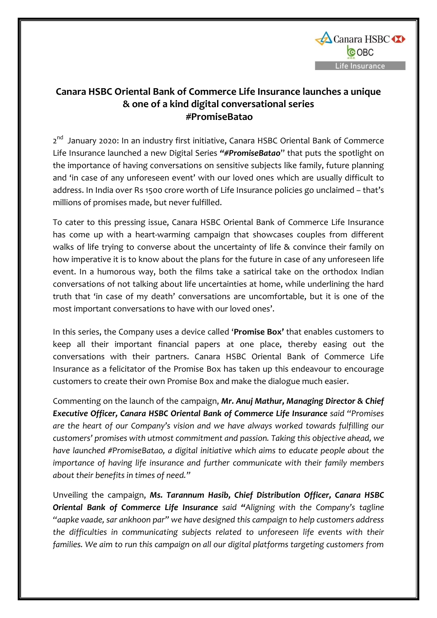

## **Canara HSBC Oriental Bank of Commerce Life Insurance launches a unique & one of a kind digital conversational series #PromiseBatao**

2<sup>nd</sup> January 2020: In an industry first initiative, Canara HSBC Oriental Bank of Commerce Life Insurance launched a new Digital Series *"#PromiseBatao*" that puts the spotlight on the importance of having conversations on sensitive subjects like family, future planning and 'in case of any unforeseen event' with our loved ones which are usually difficult to address. In India over Rs 1500 crore worth of Life Insurance policies go unclaimed – that's millions of promises made, but never fulfilled.

To cater to this pressing issue, Canara HSBC Oriental Bank of Commerce Life Insurance has come up with a heart-warming campaign that showcases couples from different walks of life trying to converse about the uncertainty of life & convince their family on how imperative it is to know about the plans for the future in case of any unforeseen life event. In a humorous way, both the films take a satirical take on the orthodox Indian conversations of not talking about life uncertainties at home, while underlining the hard truth that 'in case of my death' conversations are uncomfortable, but it is one of the most important conversations to have with our loved ones'.

In this series, the Company uses a device called '**Promise Box'** that enables customers to keep all their important financial papers at one place, thereby easing out the conversations with their partners. Canara HSBC Oriental Bank of Commerce Life Insurance as a felicitator of the Promise Box has taken up this endeavour to encourage customers to create their own Promise Box and make the dialogue much easier.

Commenting on the launch of the campaign, *Mr. Anuj Mathur, Managing Director & Chief Executive Officer, Canara HSBC Oriental Bank of Commerce Life Insurance said "Promises are the heart of our Company's vision and we have always worked towards fulfilling our customers' promises with utmost commitment and passion. Taking this objective ahead, we have launched #PromiseBatao, a digital initiative which aims to educate people about the importance of having life insurance and further communicate with their family members about their benefits in times of need."* 

Unveiling the campaign, *Ms. Tarannum Hasib, Chief Distribution Officer, Canara HSBC Oriental Bank of Commerce Life Insurance said "Aligning with the Company's tagline "aapke vaade, sar ankhoon par" we have designed this campaign to help customers address the difficulties in communicating subjects related to unforeseen life events with their families. We aim to run this campaign on all our digital platforms targeting customers from*